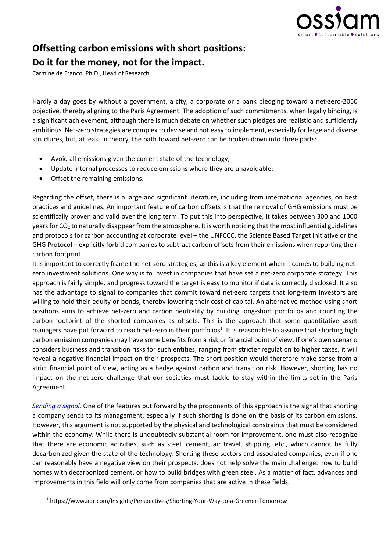

## **Offsetting carbon emissions with short positions:**

## **Do it for the money, not for the impact.**

Carmine de Franco, Ph.D., Head of Research

Hardly a day goes by without a government, a city, a corporate or a bank pledging toward a net-zero-2050 objective, thereby aligning to the Paris Agreement. The adoption of such commitments, when legally binding, is a significant achievement, although there is much debate on whether such pledges are realistic and sufficiently ambitious. Net-zero strategies are complex to devise and not easy to implement, especially for large and diverse structures, but, at least in theory, the path toward net-zero can be broken down into three parts:

- Avoid all emissions given the current state of the technology;
- Update internal processes to reduce emissions where they are unavoidable;
- Offset the remaining emissions.

Regarding the offset, there is a large and significant literature, including from international agencies, on best practices and guidelines. An important feature of carbon offsets is that the removal of GHG emissions must be scientifically proven and valid over the long term. To put this into perspective, it takes between 300 and 1000 years for  $CO<sub>2</sub>$  to naturally disappear from the atmosphere. It is worth noticing that the most influential guidelines and protocols for carbon accounting at corporate level – the UNFCCC, the Science Based Target Initiative or the GHG Protocol – explicitly forbid companies to subtract carbon offsets from their emissions when reporting their carbon footprint.

It is important to correctly frame the net-zero strategies, as this is a key element when it comes to building netzero investment solutions. One way is to invest in companies that have set a net-zero corporate strategy. This approach is fairly simple, and progress toward the target is easy to monitor if data is correctly disclosed. It also has the advantage to signal to companies that commit toward net-zero targets that long-term investors are willing to hold their equity or bonds, thereby lowering their cost of capital. An alternative method using short positions aims to achieve net-zero and carbon neutrality by building long-short portfolios and counting the carbon footprint of the shorted companies as offsets. This is the approach that some quantitative asset managers have put forward to reach net-zero in their portfolios<sup>1</sup>. It is reasonable to assume that shorting high carbon emission companies may have some benefits from a risk or financial point of view. If one's own scenario considers business and transition risks for such entities, ranging from stricter regulation to higher taxes, it will reveal a negative financial impact on their prospects. The short position would therefore make sense from a strict financial point of view, acting as a hedge against carbon and transition risk. However, shorting has no impact on the net-zero challenge that our societies must tackle to stay within the limits set in the Paris Agreement.

*Sending a signal.* One of the features put forward by the proponents of this approach is the signal that shorting a company sends to its management, especially if such shorting is done on the basis of its carbon emissions. However, this argument is not supported by the physical and technological constraints that must be considered within the economy. While there is undoubtedly substantial room for improvement, one must also recognize that there are economic activities, such as steel, cement, air travel, shipping, etc., which cannot be fully decarbonized given the state of the technology. Shorting these sectors and associated companies, even if one can reasonably have a negative view on their prospects, does not help solve the main challenge: how to build homes with decarbonized cement, or how to build bridges with green steel. As a matter of fact, advances and improvements in this field will only come from companies that are active in these fields.

<sup>1</sup> https://www.aqr.com/Insights/Perspectives/Shorting-Your-Way-to-a-Greener-Tomorrow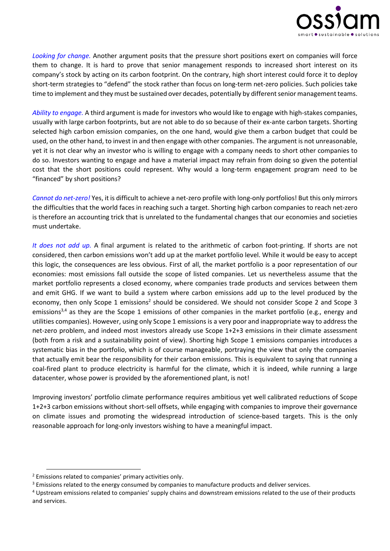

*Looking for change.* Another argument posits that the pressure short positions exert on companies will force them to change. It is hard to prove that senior management responds to increased short interest on its company's stock by acting on its carbon footprint. On the contrary, high short interest could force it to deploy short-term strategies to "defend" the stock rather than focus on long-term net-zero policies. Such policies take time to implement and they must be sustained over decades, potentially by different senior management teams.

*Ability to engage.* A third argument is made for investors who would like to engage with high-stakes companies, usually with large carbon footprints, but are not able to do so because of their ex-ante carbon targets. Shorting selected high carbon emission companies, on the one hand, would give them a carbon budget that could be used, on the other hand, to invest in and then engage with other companies. The argument is not unreasonable, yet it is not clear why an investor who is willing to engage with a company needs to short other companies to do so. Investors wanting to engage and have a material impact may refrain from doing so given the potential cost that the short positions could represent. Why would a long-term engagement program need to be "financed" by short positions?

*Cannot do net-zero!* Yes, it is difficult to achieve a net-zero profile with long-only portfolios! But this only mirrors the difficulties that the world faces in reaching such a target. Shorting high carbon companies to reach net-zero is therefore an accounting trick that is unrelated to the fundamental changes that our economies and societies must undertake.

*It does not add up.* A final argument is related to the arithmetic of carbon foot-printing. If shorts are not considered, then carbon emissions won't add up at the market portfolio level. While it would be easy to accept this logic, the consequences are less obvious. First of all, the market portfolio is a poor representation of our economies: most emissions fall outside the scope of listed companies. Let us nevertheless assume that the market portfolio represents a closed economy, where companies trade products and services between them and emit GHG. If we want to build a system where carbon emissions add up to the level produced by the economy, then only Scope 1 emissions<sup>2</sup> should be considered. We should not consider Scope 2 and Scope 3 emissions<sup>3,4</sup> as they are the Scope 1 emissions of other companies in the market portfolio (e.g., energy and utilities companies). However, using only Scope 1 emissions is a very poor and inappropriate way to address the net-zero problem, and indeed most investors already use Scope 1+2+3 emissions in their climate assessment (both from a risk and a sustainability point of view). Shorting high Scope 1 emissions companies introduces a systematic bias in the portfolio, which is of course manageable, portraying the view that only the companies that actually emit bear the responsibility for their carbon emissions. This is equivalent to saying that running a coal-fired plant to produce electricity is harmful for the climate, which it is indeed, while running a large datacenter, whose power is provided by the aforementioned plant, is not!

Improving investors' portfolio climate performance requires ambitious yet well calibrated reductions of Scope 1+2+3 carbon emissions without short-sell offsets, while engaging with companies to improve their governance on climate issues and promoting the widespread introduction of science-based targets. This is the only reasonable approach for long-only investors wishing to have a meaningful impact.

<sup>2</sup> Emissions related to companies' primary activities only.

<sup>&</sup>lt;sup>3</sup> Emissions related to the energy consumed by companies to manufacture products and deliver services.

<sup>4</sup> Upstream emissions related to companies' supply chains and downstream emissions related to the use of their products and services.